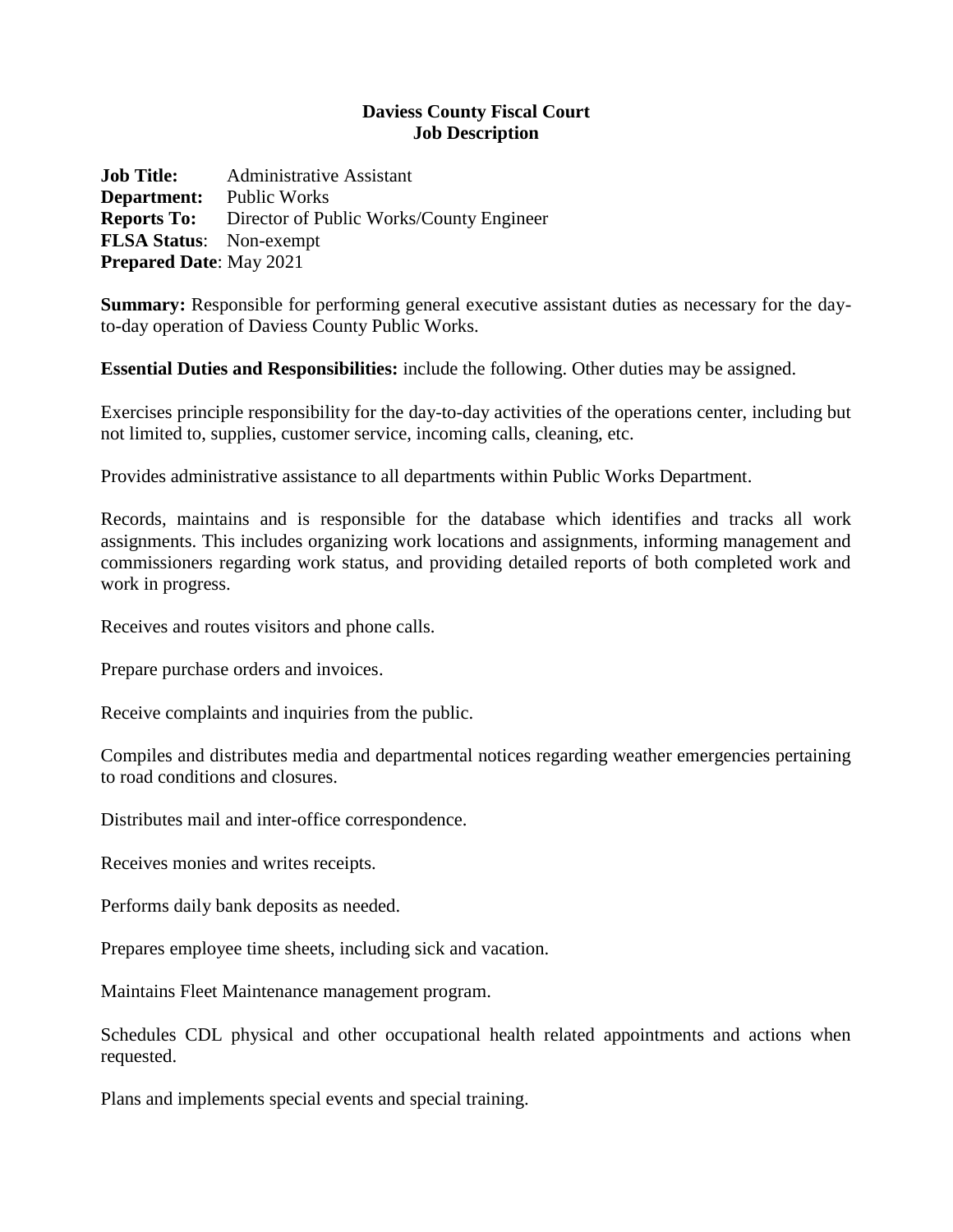## **Daviess County Fiscal Court Job Description**

**Job Title:** Administrative Assistant **Department:** Public Works **Reports To:** Director of Public Works/County Engineer **FLSA Status**: Non-exempt **Prepared Date**: May 2021

**Summary:** Responsible for performing general executive assistant duties as necessary for the dayto-day operation of Daviess County Public Works.

**Essential Duties and Responsibilities:** include the following. Other duties may be assigned.

Exercises principle responsibility for the day-to-day activities of the operations center, including but not limited to, supplies, customer service, incoming calls, cleaning, etc.

Provides administrative assistance to all departments within Public Works Department.

Records, maintains and is responsible for the database which identifies and tracks all work assignments. This includes organizing work locations and assignments, informing management and commissioners regarding work status, and providing detailed reports of both completed work and work in progress.

Receives and routes visitors and phone calls.

Prepare purchase orders and invoices.

Receive complaints and inquiries from the public.

Compiles and distributes media and departmental notices regarding weather emergencies pertaining to road conditions and closures.

Distributes mail and inter-office correspondence.

Receives monies and writes receipts.

Performs daily bank deposits as needed.

Prepares employee time sheets, including sick and vacation.

Maintains Fleet Maintenance management program.

Schedules CDL physical and other occupational health related appointments and actions when requested.

Plans and implements special events and special training.